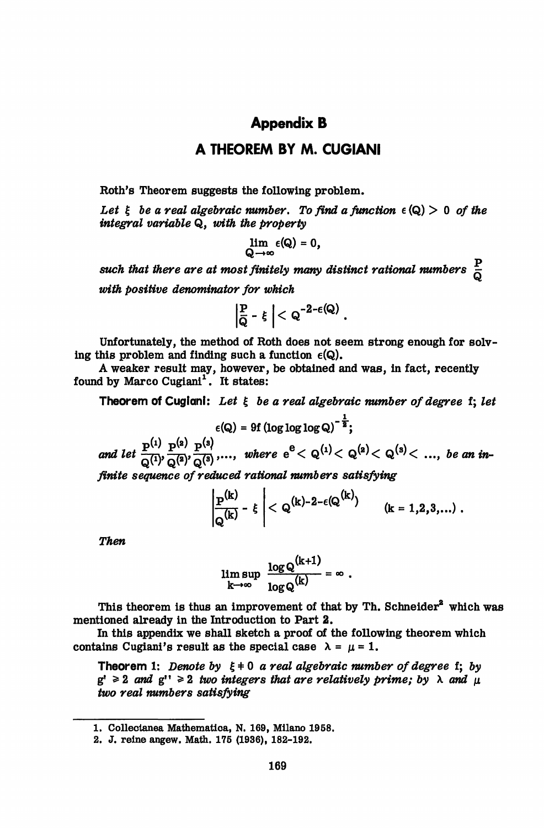## **Appendix B**

## **A THEOREM BY M. CUGIANI**

Roth's Theorem suggests the following problem.

Let  $\xi$  be a real algebraic number. To find a function  $\epsilon$  (Q) > 0 of the *integral variable* Q, *with the property*

$$
\lim_{Q\to\infty}\epsilon(Q)=0,
$$

such that there are at most finitely many distinct rational numbers  $\frac{1}{\tilde{Q}}$ *with positive denominator for which*

$$
\left|\frac{P}{\bar{Q}} - \xi\right| < Q^{-2-\varepsilon(Q)}.
$$

Unfortunately, the method of Roth does not seem strong enough for solving this problem and finding such a function  $\epsilon(Q)$ .

A weaker result may, however, be obtained and was, in fact, recently found by Marco Cugiani<sup>1</sup>. It states:

Theorem of Cugiani: *Let % be a real algebraic number of degree* f; *let*

$$
\epsilon(Q) = 9f (\log \log \log Q)^{-\frac{1}{2}};
$$

and let  $\frac{p^{(1)}}{Q^{(1)}\cdot Q^{(2)}}\cdot \frac{p^{(s)}}{Q^{(3)}\cdot \cdots}$ , where  $e^{e} < Q^{(1)} < Q^{(2)} < Q^{(3)} < \ldots$ , be an in

*finite sequence of reduced rational numbers satisfying*

$$
\left|\frac{P^{(k)}}{Q^{(k)}}-\xi\right| < Q^{(k)-2-\epsilon(Q^{(k)})} \qquad (k=1,2,3,...)
$$

*Then*

$$
\limsup_{k\to\infty}\frac{\log Q^{(k+1)}}{\log Q^{(k)}}=\infty.
$$

 $\mathbf{r} = \mathbf{r}$ 

This theorem is thus an improvement of that by Th. Schneider<sup>2</sup> which was mentioned already in the Introduction to Part 2.

In this appendix we shall sketch a proof of the following theorem which contains Cugiani's result as the special case  $\lambda = \mu = 1$ .

Theorem 1: *Denote by* £ \* 0 *a real algebraic number of degree* f; *by*  $g' \geq 2$  and  $g'' \geq 2$  two integers that are relatively prime; by  $\lambda$  and  $\mu$ *two real numbers satisfying*

<sup>1.</sup> Collectanea Mathematica, N. 169, Milano 1958.

<sup>2.</sup> J. reine angew. Math. 175 (1936), 182-192.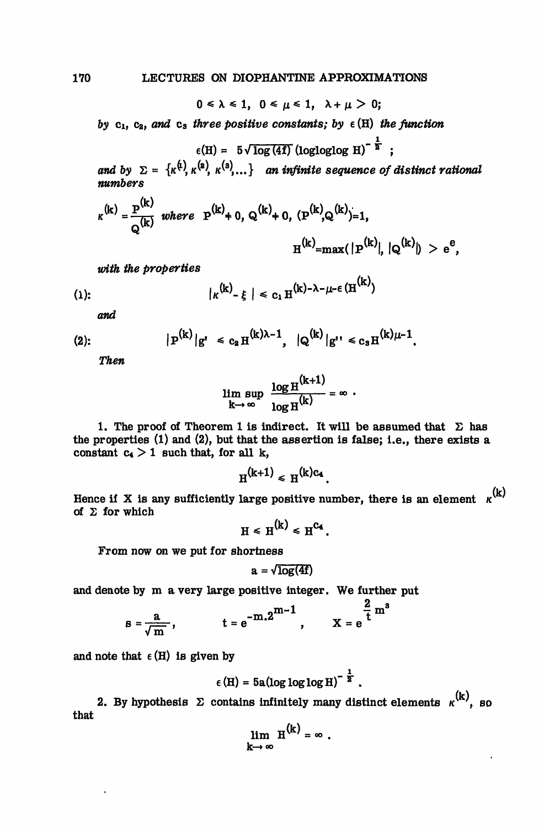$0 \le \lambda \le 1$ ,  $0 \le \mu \le 1$ ,  $\lambda + \mu > 0$ ;

 $by$   $c_1$ ,  $c_2$ , and  $c_3$  three positive constants; by  $\epsilon$  (H) the function

 $\epsilon(H) = 5\sqrt{\log(4f)}$  (logloglog H)<sup>- $\frac{1}{2}$ </sup>;

and *by*  $\Sigma = \{K^{(4)}, K^{(2)}, K^{(3)}, \ldots\}$  an infinite sequence of distinct rational *numbers*

$$
\kappa^{(k)} = \frac{P^{(k)}}{Q^{(k)}}
$$
 where  $P^{(k)} + 0$ ,  $Q^{(k)} + 0$ ,  $(P^{(k)}, Q^{(k)}) = 1$ ,  
 $H^{(k)} = max(|P^{(k)}|, |Q^{(k)}|) > e^{e}$ ,

with the properties

(1): 
$$
|\kappa^{(k)} - \xi| \le c_1 H^{(k)-\lambda-\mu-\epsilon} (H^{(k)})
$$

and

(2): 
$$
|\mathbf{P}^{(k)}|g'|\leq c_2 \mathbf{H}^{(k)\lambda-1}, \quad |Q^{(k)}|g''|\leq c_3 \mathbf{H}^{(k)\mu-1}.
$$

*Then*

$$
\limsup_{k\to\infty}\frac{\log H^{(k+1)}}{\log H^{(k)}}=\infty.
$$

1. The proof of Theorem 1 is indirect. It will be assumed that  $\Sigma$  has the properties (1) and (2), but that the assertion is false; i.e., there exists a constant  $c_4 > 1$  such that, for all k,

$$
H^{(k+1)} \leq H^{(k)c_4}.
$$

Hence if X is any sufficiently large positive number, there is an element  $\kappa^{(k)}$ of  $\Sigma$  for which

$$
H \le H^{(k)} \le H^{C_4}.
$$

From now on we put for shortness

$$
a = \sqrt{\log(4f)}
$$

and denote by m a very large positive integer. We further put

$$
a = \sqrt{log(4t)}
$$
\nby m a very large positive integer. We further

\n
$$
B = \frac{a}{\sqrt{m}}, \qquad t = e^{-m \cdot 2^{m-1}}, \qquad X = e^{\frac{2}{t} m^3}
$$

and note that  $\epsilon$  (H) is given by

$$
\epsilon(H) = 5a(\log \log \log H)^{-\frac{1}{2}}.
$$

2. By hypothesis  $\Sigma$  contains infinitely many distinct elements  $\kappa^{(k)}$ , so that  $\mathbf{r}$ 

$$
\lim_{k\to\infty} H^{(k)} = \infty.
$$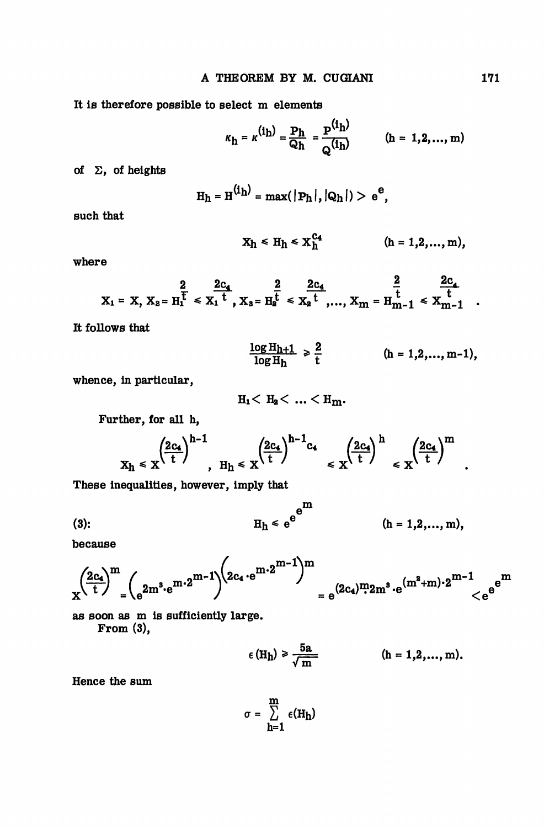It is therefore possible to select m elements

 $(h = 1)$  $\overline{2}$ ..... m)

of  $\Sigma$ , of heights

$$
H_h = H^{(i_h)} = max(|P_h|, |Q_h|) > e^e,
$$

such that

$$
X_h \leq H_h \leq X_h^{C_4} \qquad (h = 1, 2, ..., m),
$$

where

$$
X_1 = X, X_2 = H_1^{\overline{t}} \leq X_1^{\overline{t}}, X_3 = H_2^{\overline{t}} \leq X_2^{\overline{t}}, ..., X_m = H_{m-1}^{\overline{t}} \leq X_{m-1}^{\overline{t}}
$$

It follows that

$$
\frac{\log H_{h+1}}{\log H_h} \ge \frac{2}{t}
$$
 (h = 1,2,..., m-1),

whence, in particular,

 $H_1 < H_2 < ... < H_m$ .

Further, for all h,

$$
x_h \leqslant x^{\left(\frac{2c_4}{t}\right)^{h-1}}, \quad H_h \leqslant x^{\left(\frac{2c_4}{t}\right)^{h-1}c_4} \leqslant x^{\left(\frac{2c_4}{t}\right)^{h}} \leqslant x^{\left(\frac{2c_4}{t}\right)^{m}}
$$

These inequalities, however, imply that

(3): 
$$
H_h \leq e^{e^{m}}
$$
 \t\t\t $(h = 1, 2, ..., m),$ 

because

$$
x^{\left( \frac{2c_4}{t} \right)^m} = \left(e^{2m^3 \cdot e^{m \cdot 2^{m-1}} \right)^{\left( 2c_4 \cdot e^{m \cdot 2^{m-1}} \right)^m} = e^{(2c_4)^m 2m^3 \cdot e^{(m^2+m) \cdot 2^{m-1}} \leq e^{e^{m^2+m}}
$$

as soon as m is sufficiently large. From (3),

$$
\epsilon(H_{\rm h}) \geq \frac{5a}{\sqrt{\rm m}} \qquad \qquad (h = 1, 2, ..., m).
$$

Hence the sum

$$
\sigma = \sum_{h=1}^m \epsilon(H_h)
$$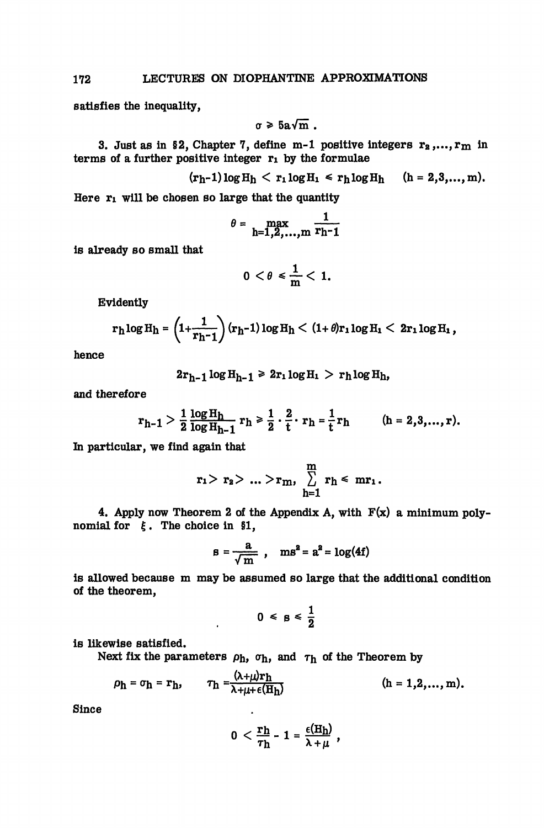satisfies the inequality,

$$
\sigma \geqslant 5a\sqrt{m}.
$$

3. Just as in §2, Chapter 7, define m-1 positive integers  $r_2, ..., r_m$  in terms of a further positive integer  $r_1$  by the formulae

$$
(r_h-1)\log H_h < r_1\log H_1 \le r_h\log H_h
$$
 (h = 2,3,..., m).

Here  $r_1$  will be chosen so large that the quantity

$$
\theta = \max_{h=1,2,\ldots,m} \frac{1}{r_{h-1}}
$$

is already so small that

$$
0<\theta\leq \frac{1}{m}<1.
$$

Evidently

$$
r_h \log H_h = \left(1 + \frac{1}{r_h - 1}\right) (r_h - 1) \log H_h < (1 + \theta) r_1 \log H_1 < 2r_1 \log H_1,
$$

hence

 $2r_{h-1}\log H_{h-1} \ge 2r_1\log H_1 > r_h\log H_h$ 

and therefore

$$
r_{h-1} > \frac{1}{2} \frac{\log H_h}{\log H_{h-1}} r_h \ge \frac{1}{2} \cdot \frac{2}{t} \cdot r_h = \frac{1}{t} r_h \qquad (h = 2, 3, ..., r).
$$

In particular, we find again that

$$
r_1 > \ r_2 > \ ... > r_m, \ \sum_{h=1}^m \ r_h \leq \ mr_1 \, .
$$

4. Apply now Theorem 2 of the Appendix A, with  $F(x)$  a minimum polynomial for  $\xi$ . The choice in §1,

$$
s = \frac{a}{\sqrt{m}} , \quad ms^2 = a^2 = \log(4f)
$$

is allowed because m may be assumed so large that the additional condition of the theorem,

$$
0 \leq s \leq \frac{1}{2}
$$

is likewise satisfied.

Next fix the parameters  $\rho_h$ ,  $\sigma_h$ , and  $\tau_h$  of the Theorem by

 $\ddot{\phantom{a}}$ 

$$
\rho_h = \sigma_h = \mathbf{r}_h, \qquad \tau_h = \frac{(\lambda + \mu)\mathbf{r}_h}{\lambda + \mu + \epsilon(\mathbf{H}_h)}
$$
 (h = 1,2,..., m).

Since

$$
0 < \frac{\mathbf{r} \mathbf{h}}{\tau \mathbf{h}} - 1 = \frac{\epsilon(\mathbf{H} \mathbf{h})}{\lambda + \mu} ,
$$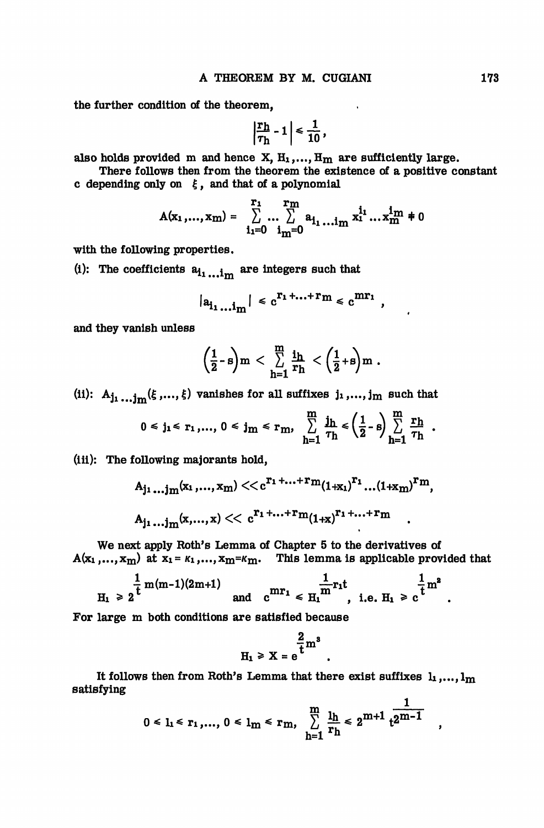the further condition of the theorem,

$$
\left|\frac{\mathbf{r}_{\mathbf{h}}}{\tau_{\mathbf{h}}} - 1\right| \leq \frac{1}{10},
$$

 $\mathbf{v}$ 

also holds provided m and hence X,  $H_1,...,H_m$  are sufficiently large.

There follows then from the theorem the existence of a positive constant c depending only on  $\xi$ , and that of a polynomial

$$
A(x_1,...,x_m) = \sum_{i_1=0}^{r_1} ... \sum_{i_m=0}^{r_m} a_{i_1} ... i_m x_1^{i_1} ... x_m^{i_m} \neq 0
$$

with the following properties,

(i): The coefficients  $a_{i_1}$ <sub>iim</sub> are integers such that

$$
|a_{i_1...i_m}| \leq c^{r_1+...+r_m} \leq c^{mr_1},
$$

and they vanish unless

$$
\left(\frac{1}{2}\text{-}s\right)m\,<\,\sum_{h=1}^m\,\frac{i_h}{r_h}\,<\left(\frac{1}{2}\text{+}s\right)m\,.
$$

(ii):  $A_{j_1}$  ...j<sub>m</sub>( $\xi$ ,..., $\xi$ ) vanishes for all suffixes j<sub>1</sub>,..., j<sub>m</sub> such that

$$
0 \leq j_1 \leq r_1, \ldots, 0 \leq j_m \leq r_m, \sum_{h=1}^m \frac{j_h}{\tau_h} \leq \left(\frac{1}{2} - s\right) \sum_{h=1}^m \frac{r_h}{\tau_h}.
$$

(iii): The following majorants hold,

$$
A_{j_1...j_m}(x_1,...,x_m) \ll c^{r_1+...+r_m}(1+x_1)^{r_1}...(1+x_m)^{r_m},
$$
  

$$
A_{j_1...j_m}(x,...,x) \ll c^{r_1+...+r_m}(1+x)^{r_1+...+r_m}.
$$

We next apply Roth's Lemma of Chapter 5 to the derivatives of  $A(x_1,...,x_m)$  at  $x_1 = \kappa_1,...,x_m = \kappa_m$ . This lemma is applicable provided that

$$
H_1 \geq 2^{\frac{1}{t}m(m-1)(2m+1)}
$$
 and  $c^{mr_1} \leq H_1^{\frac{1}{m}r_1t}$ , i.e.  $H_1 \geq c^{\frac{1}{t}m^2}$ .

For large m both conditions are satisfied because

$$
H_1 \ge X = e^{\frac{2}{t}m^3}
$$

It follows then from Roth's Lemma that there exist suffixes  $l_1, \ldots, l_m$ satisfying

$$
0 \leq l_1 \leq r_1, ..., 0 \leq l_m \leq r_m, \sum_{h=1}^{m} \frac{l_h}{r_h} \leq 2^{m+1} t^{2^{m-1}}
$$

,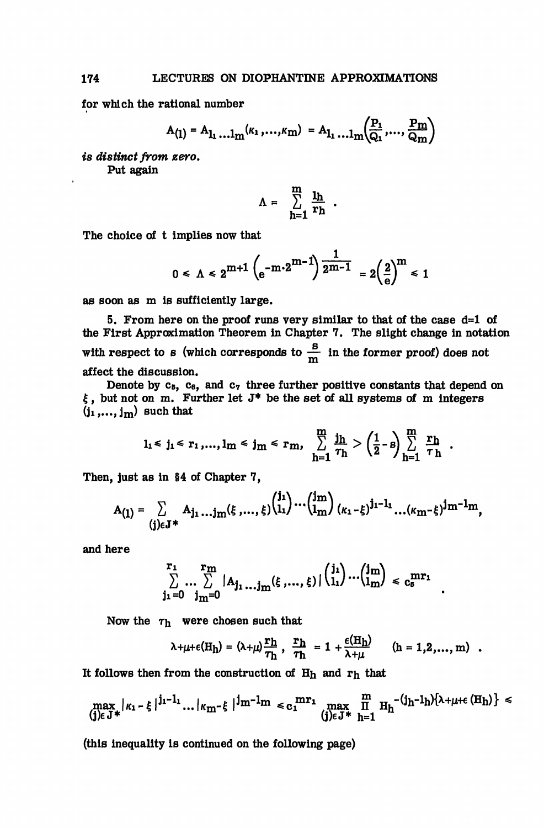for which the rational number

$$
A_{(1)} = A_{1_1} \dots I_m(\kappa_1, \dots, \kappa_m) = A_{1_1} \dots I_m(\frac{P_1}{Q_1}, \dots, \frac{P_m}{Q_m})
$$

×

 $\ddot{\phantom{a}}$ 

fe *distinct from zero.* Put again

$$
\Lambda = \sum_{h=1}^{m} \frac{1_h}{r_h} .
$$

The choice of t implies now that

$$
0 \le \Lambda \le 2^{m+1} \left( e^{-m \cdot 2^{m-1}} \right) \frac{1}{2^{m-1}} = 2 \left( \frac{2}{e} \right)^m \le 1
$$

as soon as m is sufficiently large.

5. From here on the proof runs very similar to that of the case  $d=1$  of the First Approximation Theorem in Chapter 7. The slight change in notation with respect to s (which corresponds to  $\frac{B}{m}$  in the former proof) does not affect the discussion.

Denote by  $c_5$ ,  $c_6$ , and  $c_7$  three further positive constants that depend on  $\xi$ , but not on m. Further let  $J^*$  be the set of all systems of m integers  $(i_1,...,i_m)$  such that

$$
l_1 \leq j_1 \leq r_1, ..., l_m \leq j_m \leq r_m, \sum_{h=1}^{m} \frac{j_h}{\tau_h} > \left(\frac{1}{2} - s\right) \sum_{h=1}^{m} \frac{r_h}{\tau_h}.
$$

Then, just as in §4 of Chapter 7,

$$
A_{(1)} = \sum_{(j)\in J^*} A_{j_1} \dots j_m(\xi, \dots, \xi) {j_1 \choose 1_1} \dots {j_m \choose 1_m} {j_{m-1} \choose {k_1 - \xi}}^{j_1 - 1_1} \dots (k_m - \xi)^{j_m - 1_m},
$$

and here

$$
\sum_{j_1=0}^{r_1} \sum_{j_m=0}^{r_m} |A_{j_1\ldots j_m}(\xi,\ldots,\xi)| \binom{j_1}{l_1}\ldots \binom{j_m}{l_m} \leq c_5^{\text{mr}_1}
$$

Now the  $\tau_h$  were chosen such that

$$
\lambda + \mu + \epsilon(H_{\text{h}}) = (\lambda + \mu) \frac{\mathbf{r}_{\text{h}}}{\tau_{\text{h}}}, \frac{\mathbf{r}_{\text{h}}}{\tau_{\text{h}}} = 1 + \frac{\epsilon(H_{\text{h}})}{\lambda + \mu} \qquad (\text{h} = 1, 2, ..., \text{m}) .
$$

It follows then from the construction of  $H_h$  and  $r_h$  that

$$
\max_{\{j\}\in J^*}|\kappa_1-\xi\,|^{j_1-1_1}\dots|\kappa_{m}-\xi\,|^{j_{m}-1_{m}}\ll c_1{}^{mr_1}\max_{\{j\}\in J^*}\prod_{h=1}^{m}\,H_h^{-(j_h-1_h)\{\lambda+\mu+\varepsilon\,(H_h)\}}\leqslant
$$

(this inequality is continued on the following page)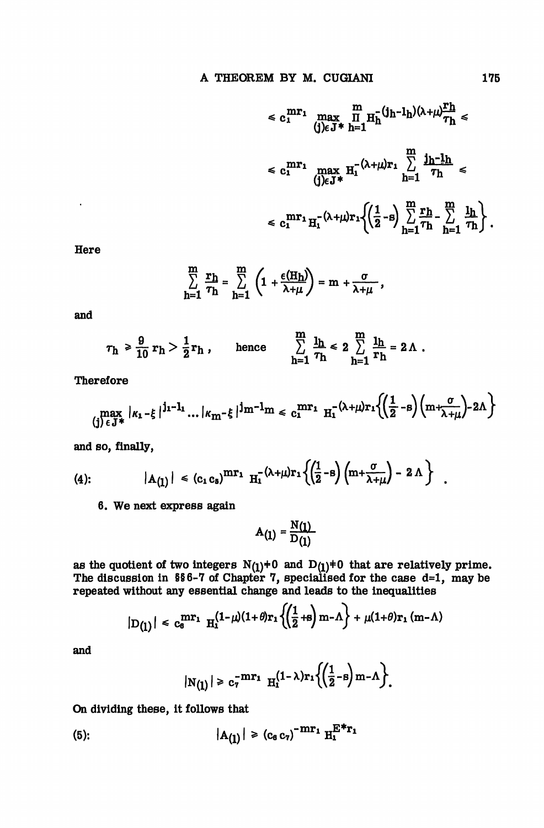$$
\leq c_1^{mr_1} \max_{\left(j\right) \in J^*} \prod_{h=1}^m H_h^{-\left(j_h - l_h\right)\left(\lambda + \mu\right)} \frac{r_h}{\tau_h} \leq
$$
\n
$$
\leq c_1^{mr_1} \max_{\left(j\right) \in J^*} H_1^{-\left(\lambda + \mu\right)r_1} \sum_{h=1}^m \frac{j_h - l_h}{\tau_h} \leq
$$
\n
$$
\leq c_1^{mr_1} H_1^{-\left(\lambda + \mu\right)r_1} \left\{ \left(\frac{1}{2} - s\right) \sum_{h=1}^m \frac{r_h}{\tau_h} - \sum_{h=1}^m \frac{l_h}{\tau_h} \right\}.
$$

Here

 $\ddot{\phantom{0}}$ 

$$
\sum_{h=1}^{m} \frac{r_h}{\tau_h} = \sum_{h=1}^{m} \left( 1 + \frac{\epsilon(H_h)}{\lambda + \mu} \right) = m + \frac{\sigma}{\lambda + \mu} ,
$$

and

$$
\tau_h \geq \frac{9}{10} r_h > \frac{1}{2} r_h , \quad \text{hence} \quad \sum_{h=1}^m \frac{l_h}{\tau_h} \leq 2 \sum_{h=1}^m \frac{l_h}{r_h} = 2 \Lambda .
$$

Therefore

$$
\max_{\{j\} \in J^*} |\kappa_1 - \xi|^{j_1 - l_1} \dots |\kappa_m - \xi|^{j_m - l_m} \le c_1^{mr_1} \ \text{H}_1^{- (\lambda + \mu) r_1 \left\{ \left( \frac{1}{2} - s \right) \left( m + \frac{\sigma}{\lambda + \mu} \right) - 2\Lambda \right\}}
$$

and so, finally,

(4): 
$$
|A_{(1)}| \leq (c_1 c_5)^{mr_1} H_1^{- (\lambda + \mu) r_1} \left\{ \left( \frac{1}{2} - s \right) \left( m + \frac{\sigma}{\lambda + \mu} \right) - 2 \Lambda \right\}
$$

6. We next express again

$$
\mathbf{A}_{(1)} = \frac{\mathbf{N}(1)}{\mathbf{D}(1)}
$$

as the quotient of two integers  $N(j)$ +0 and  $D(j)$ +0 that are relatively prime. The discussion in  $$6-7$  of Chapter 7, specialised for the case d=1, may be repeated without any essential change and leads to the inequalities

$$
|D_{(1)}| \leq c_0^{mr_1} H_1^{(1-\mu)(1+\theta)r_1}\left(\left(\frac{1}{2}+s\right)m-\Lambda\right) + \mu(1+\theta)r_1(m-\Lambda)
$$

and

$$
|N(\underline{1})| \geq c_7^{-mr_1} \ \mathrm{H}_1^{(1-\lambda)r_1}\left\{\left(\frac{1}{2}-s\right)m-\Lambda\right\}.
$$

On dividing these, it follows that

(5): 
$$
|A_{(1)}| \ge (c_6 c_7)^{-mr_1} H_1^{E^*r_1}
$$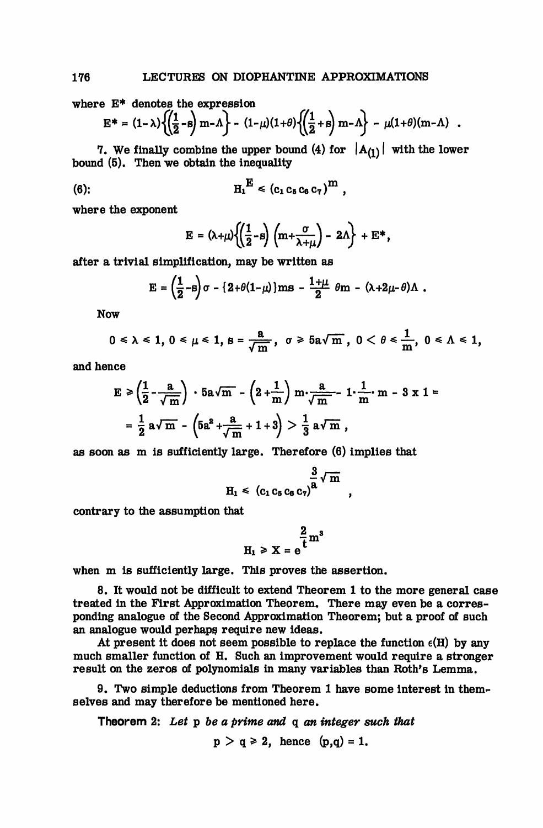where E\* denotes the expression

$$
E^* = (1 - \lambda) \left\{ \left( \frac{1}{2} - s \right) m - \Lambda \right\} - (1 - \mu)(1 + \theta) \left\{ \left( \frac{1}{2} + s \right) m - \Lambda \right\} - \mu(1 + \theta)(m - \Lambda) .
$$

7. We finally combine the upper bound (4) for  $|A_{(1)}|$  with the lower bound (5). Then we obtain the inequality

(6): 
$$
H_1^E \le (c_1 c_5 c_6 c_7)^m
$$
,

where the exponent

$$
E = (\lambda + \mu) \left\{ \left( \frac{1}{2} - s \right) \left( m + \frac{\sigma}{\lambda + \mu} \right) - 2\Lambda \right\} + E^*,
$$

after a trivial simplification, may be written as

$$
E = \left(\frac{1}{2} - \beta\right)\sigma - \left\{2 + \theta(1-\mu)\right\}ms - \frac{1+\mu}{2}\theta m - \left(\lambda + 2\mu - \theta\right)\Lambda.
$$

Now

$$
0\leq \lambda \leq 1, 0\leq \mu \leq 1, s=\frac{a}{\sqrt{m}}, \sigma \geq 5a\sqrt{m}, 0<\theta \leq \frac{1}{m}, 0\leq \Lambda \leq 1,
$$

and hence

$$
E \ge \left(\frac{1}{2} - \frac{a}{\sqrt{m}}\right) \cdot 5a\sqrt{m} - \left(2 + \frac{1}{m}\right)m \cdot \frac{a}{\sqrt{m}} - 1 \cdot \frac{1}{m}m - 3 \times 1 =
$$
  
=  $\frac{1}{2} a\sqrt{m} - \left(5a^2 + \frac{a}{\sqrt{m}} + 1 + 3\right) > \frac{1}{3} a\sqrt{m}$ ,

as soon as m is sufficiently large. Therefore (6) implies that

$$
H_1 \leqslant (c_1 c_5 c_6 c_7)^{\frac{3}{2}} \sqrt{m} ,
$$

contrary to the assumption that

$$
H_1 \ge X = e^{\frac{2}{t}m^3}
$$

when m is sufficiently large. This proves the assertion.

8. It would not be difficult to extend Theorem 1 to the more general case treated in the First Approximation Theorem. There may even be a corresponding analogue of the Second Approximation Theorem; but a proof of such an analogue would perhaps require new ideas.

At present it does not seem possible to replace the function  $\epsilon(H)$  by any much smaller function of H. Such an improvement would require a stronger result on the zeros of polynomials in many variables than Roth's Lemma.

9. Two simple deductions from Theorem 1 have some interest in themselves and may therefore be mentioned here.

Theorem 2: *Let* p *be a prime and* q *an integer such that*

 $p > q \ge 2$ , hence  $(p,q) = 1$ .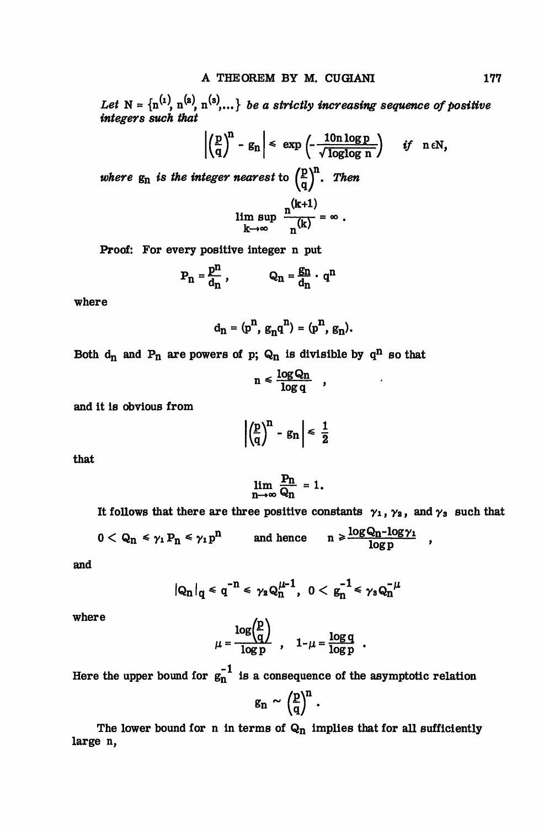Let  $N = {n^{(1)}, n^{(2)}, n^{(3)}, ...}$  *be a strictly increasing sequence of positive integers such that*

$$
\left|\left(\frac{p}{q}\right)^n - g_n\right| \le \exp\left(-\frac{10n\log p}{\sqrt{\log\log n}}\right) \quad \text{if} \quad n \in \mathbb{N},
$$
\nwhere  $g_n$  is the integer nearest to  $\left(\frac{p}{q}\right)^n$ . Then\n
$$
\lim_{k \to \infty} \sup_{n \in \mathbb{N}} \frac{n^{(k+1)}}{n^{(k)}} = \infty.
$$

Proof: For every positive integer n put

$$
P_n = \frac{p^n}{d_n}
$$
,  $Q_n = \frac{g_n}{d_n} \cdot q^n$ 

where

$$
d_n = (p^n, g_n q^n) = (p^n, g_n).
$$

Both  $d_n$  and  $P_n$  are powers of p;  $Q_n$  is divisible by  $q^n$  so that

$$
n \leqslant \frac{\log Q_n}{\log q} \quad ,
$$

and it is obvious from

$$
\left|\left(\frac{p}{q}\right)^{n} - g_{n}\right| \leq \frac{1}{2}
$$

that

$$
\lim_{n\to\infty}\frac{P_n}{Q_n}=1.
$$

It follows that there are three positive constants  $\gamma_1$ ,  $\gamma_2$ , and  $\gamma_3$  such that

$$
0 < Q_n \leq \gamma_1 P_n \leq \gamma_1 p^n \qquad \text{and hence} \qquad n \geq \frac{\log Q_n - \log \gamma_1}{\log p} \quad ,
$$

and

$$
|Q_n|_q \leq q^{-n} \leq \gamma_2 Q_n^{\mu-1}, \ 0 < g_n^{-1} \leq \gamma_3 Q_n^{-\mu}
$$

where

$$
\mu = \frac{\log \binom{p}{q}}{\log p} \ , \quad 1-\mu = \frac{\log q}{\log p} \ .
$$

Here the upper bound for  $g_n^{-1}$  is a consequence of the asymptotic relation

 $g_n \sim \left(\frac{p}{q}\right)^n$ .

The lower bound for n in terms of  $Q_n$  implies that for all sufficiently large n,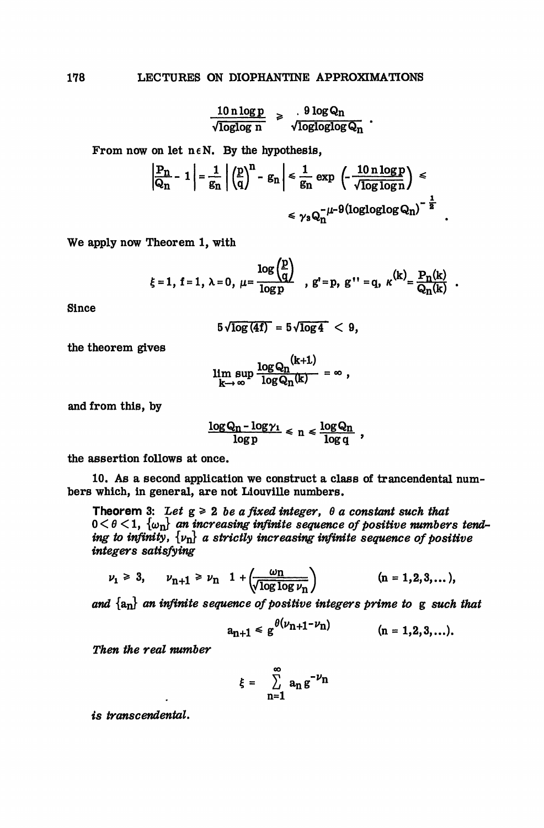$$
\frac{10 \text{ n log } p}{\sqrt{\text{loglog } n}} \geq \frac{9 \text{ log } Q_n}{\sqrt{\text{logloglog } Q_n}}.
$$

From now on let  $n \in N$ . By the hypothesis,

$$
\left|\frac{P_n}{Q_n} - 1\right| = \frac{1}{g_n} \left| \left(\frac{p}{q}\right)^n - g_n \right| \le \frac{1}{g_n} \exp\left(-\frac{10 n \log p}{\sqrt{\log \log n}}\right) \le
$$

$$
\le \gamma_3 Q_n^{-\mu - 9} (\log \log \log Q_n)^{-\frac{1}{2}}
$$

We apply now Theorem 1, with

$$
\xi = 1, \ f = 1, \ \lambda = 0, \ \mu = \frac{\log \binom{p}{q}}{\log p}, \ g' = p, \ g'' = q, \ \kappa^{(k)} = \frac{P_n(k)}{Q_n(k)}
$$

 $\mathbf{z}$  and  $\mathbf{z}$ 

Since

$$
5\sqrt{\log(4f)} = 5\sqrt{\log 4} < 9,
$$

 $\overline{\phantom{a}}$ 

the theorem gives

$$
\limsup_{k\to\infty}\frac{\log Q_n^{(k+1)}}{\log Q_n(k)}=\infty,
$$

and from this, by

$$
\frac{\log Q_n - \log \gamma_1}{\log p} \leq n \leq \frac{\log Q_n}{\log q} \ ,
$$

the assertion follows at once.

10. As a second application we construct a class of trancendental numbers which, in general, are not Liouville numbers.

Theorem 3: Let  $g \ge 2$  be a fixed integer,  $\theta$  a constant such that  $0 < \theta < 1$ ,  $\{\omega_{\bf n}\}\$ an increasing infinite sequence of positive numbers tend*ing to infinity,*  $\{v_n\}$  a strictly increasing infinite sequence of positive *integers satisfying*

$$
\nu_1 \ge 3
$$
,  $\nu_{n+1} \ge \nu_n$   $1 + \left( \frac{\omega_n}{\sqrt{\log \log \nu_n}} \right)$   $(n = 1, 2, 3, ...),$ 

*and* {an} *an infinite sequence of positive integers prime to* g *such that*  $\sim$ 

$$
a_{n+1} \leq g^{\theta(\nu_{n+1} - \nu_n)} \qquad (n = 1, 2, 3, ...).
$$

**Then the real number** 

$$
\xi = \sum_{n=1}^{\infty} a_n g^{-\nu_n}
$$

*transcendental.*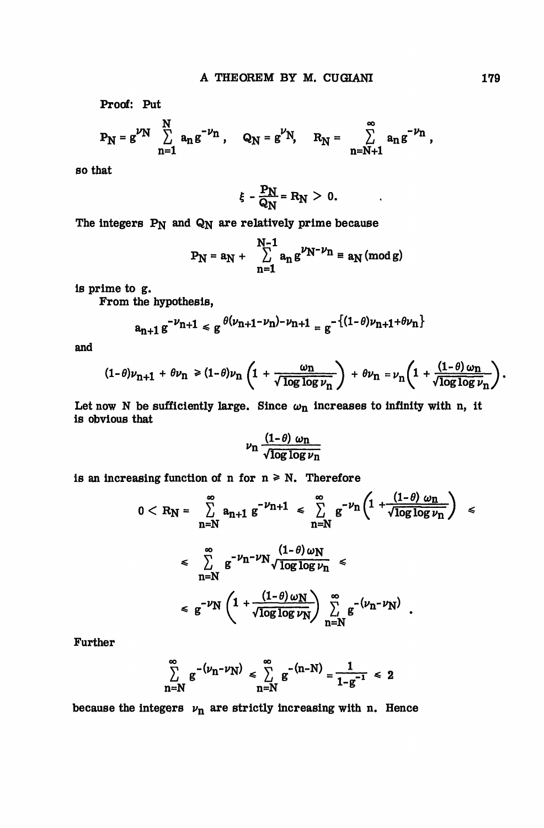Proof: Put

$$
P_N = g^{\nu N} \sum_{n=1}^N a_n g^{-\nu n}, \quad Q_N = g^{\nu N}, \quad R_N = \sum_{n=N+1}^{\infty} a_n g^{-\nu n},
$$

so that

$$
\xi - \frac{P_N}{Q_N} = R_N > 0.
$$

The integers  $P_N$  and  $Q_N$  are relatively prime because

$$
P_N = a_N + \sum_{n=1}^{N-1} a_n g^{\nu_N - \nu_n} \equiv a_N \pmod{g}
$$

is prime to g.

From the hypothesis,

$$
a_{n+1}g^{-\nu_{n+1}} \leq g^{\theta(\nu_{n+1}-\nu_n)-\nu_{n+1}} = g^{-\{(1-\theta)\nu_{n+1}+\theta\nu_n\}}
$$

and

$$
(1-\theta)\nu_{n+1} + \theta \nu_n \ge (1-\theta)\nu_n \left(1 + \frac{\omega_n}{\sqrt{\log \log \nu_n}}\right) + \theta \nu_n = \nu_n \left(1 + \frac{(1-\theta)\omega_n}{\sqrt{\log \log \nu_n}}\right).
$$

Let now N be sufficiently large. Since  $\omega_{n}$  increases to infinity with n, it is obvious that

$$
\nu_{\rm n} \, \frac{(1-\theta) \, \omega_{\rm n}}{\sqrt{\log \log \nu_{\rm n}}}
$$

is an increasing function of n for  $n \ge N$ . Therefore

$$
0 < R_N = \sum_{n=N}^{\infty} a_{n+1} g^{-\nu_{n+1}} \leq \sum_{n=N}^{\infty} g^{-\nu_n} \left( 1 + \frac{(1-\theta)\omega_n}{\sqrt{\log\log\nu_n}} \right) \leq
$$
\n
$$
\leq \sum_{n=N}^{\infty} g^{-\nu_n - \nu_N} \frac{(1-\theta)\omega_N}{\sqrt{\log\log\nu_n}} \leq
$$
\n
$$
\leq g^{-\nu_N} \left( 1 + \frac{(1-\theta)\omega_N}{\sqrt{\log\log\nu_N}} \right) \sum_{n=N}^{\infty} g^{-(\nu_n - \nu_N)}.
$$

Further

$$
\sum_{n=N}^{\infty} g^{-(\nu_n - \nu_N)} \leq \sum_{n=N}^{\infty} g^{-(n-N)} = \frac{1}{1 - g^{-1}} \leq 2
$$

because the integers  $\nu_n$  are strictly increasing with n. Hence